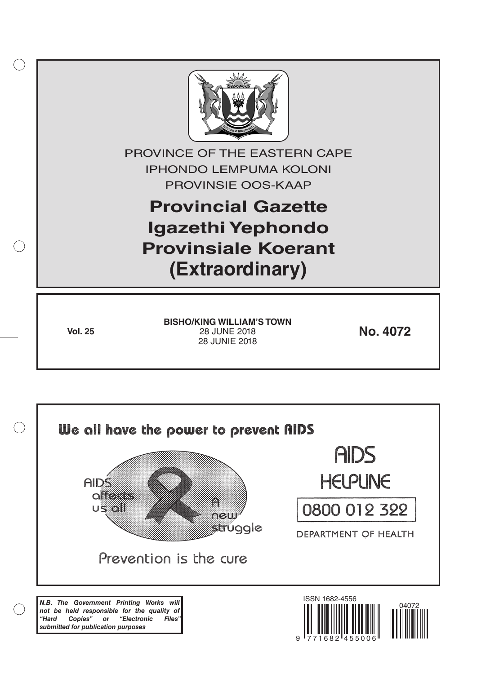

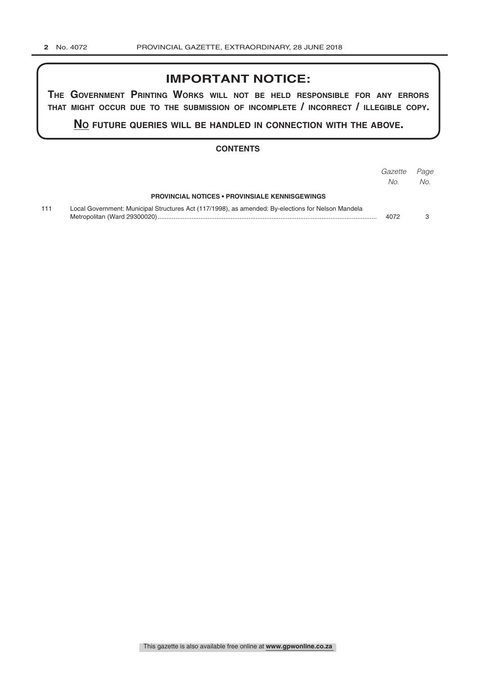## **IMPORTANT NOTICE:**

**The GovernmenT PrinTinG Works Will noT be held resPonsible for any errors ThaT miGhT occur due To The submission of incomPleTe / incorrecT / illeGible coPy.**

**no fuTure queries Will be handled in connecTion WiTh The above.**

#### **CONTENTS**

|     |                                                                                                    | Gazette<br>No. | Page<br>No. |
|-----|----------------------------------------------------------------------------------------------------|----------------|-------------|
|     | <b>PROVINCIAL NOTICES • PROVINSIALE KENNISGEWINGS</b>                                              |                |             |
| 111 | Local Government: Municipal Structures Act (117/1998), as amended: By-elections for Nelson Mandela | 4072           |             |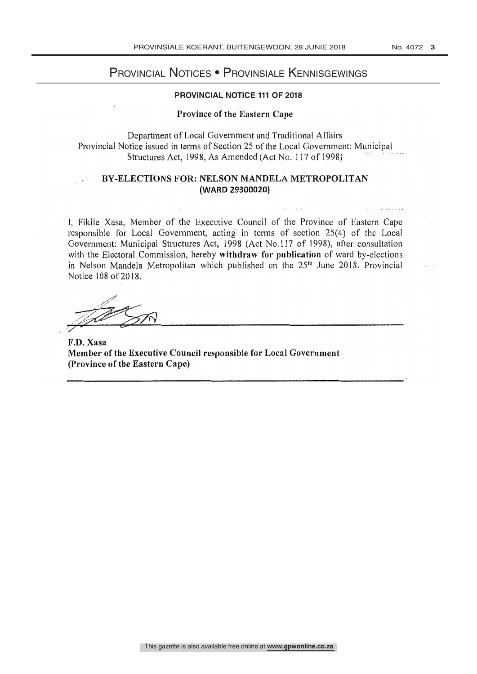# PROVINCIAL NOTICE Provincial Notices • Provinsiale Kennisgewings

#### **PROVINCIAL NOTICE 111 OF 2018**

#### Province of the Eastern Cape

Department of Local Government and Traditional Affairs Provincial Notice issued in terms of Section 25 of the Local Government: Municipal Structures Act, 1998, As Amended (Act No. 117 of 1998)

### BY-ELECTIONS FOR: NELSON MANDELA METROPOLITAN (WARD 29300020)

1, Fikile Xasa, Member of the Executive Council of the Province of Eastern Cape responsible for Local Góvernment, acting in terms of section 25(4) of the Local Government: Municipal Structures Act, 1998 (Act No.117 of 1998), after consultation with the Electoral Commission, hereby withdraw for publication of ward by-elections in Nelson Mandela Metropolitan which published on the  $25<sup>th</sup>$  June 2018. Provincial Notice 108 of 2018.

F.D. Xasa Member of the Executive Council responsible for Local Government (Province of the Eastern Cape)